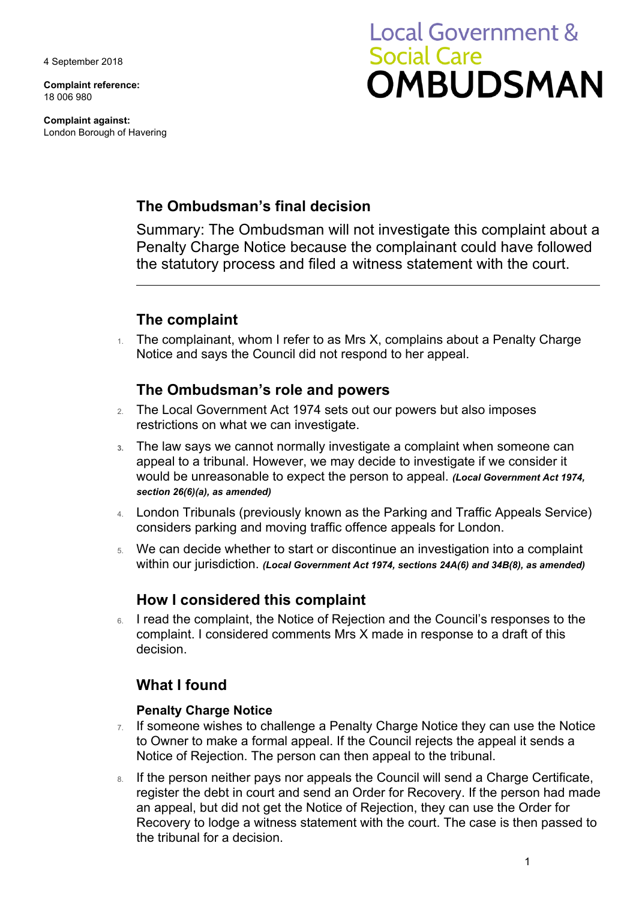4 September 2018

**Complaint reference:**  18 006 980

**Complaint against:**  London Borough of Havering

# **Local Government & Social Care OMBUDSMAN**

# **The Ombudsman's final decision**

Summary: The Ombudsman will not investigate this complaint about a Penalty Charge Notice because the complainant could have followed the statutory process and filed a witness statement with the court.

# **The complaint**

 Notice and says the Council did not respond to her appeal. 1. The complainant, whom I refer to as Mrs X, complains about a Penalty Charge

## **The Ombudsman's role and powers**

- 2. The Local Government Act 1974 sets out our powers but also imposes restrictions on what we can investigate.
- **3.** The law says we cannot normally investigate a complaint when someone can appeal to a tribunal. However, we may decide to investigate if we consider it would be unreasonable to expect the person to appeal. *(Local Government Act 1974, section 26(6)(a), as amended)*
- 4. London Tribunals (previously known as the Parking and Traffic Appeals Service) considers parking and moving traffic offence appeals for London.
- 5. We can decide whether to start or discontinue an investigation into a complaint within our jurisdiction. *(Local Government Act 1974, sections 24A(6) and 34B(8), as amended)*

## **How I considered this complaint**

6. I read the complaint, the Notice of Rejection and the Council's responses to the complaint. I considered comments Mrs X made in response to a draft of this decision.

## **What I found**

## **Penalty Charge Notice**

- $7.$  If someone wishes to challenge a Penalty Charge Notice they can use the Notice Notice of Rejection. The person can then appeal to the tribunal. to Owner to make a formal appeal. If the Council rejects the appeal it sends a
- Recovery to lodge a witness statement with the court. The case is then passed to 8. If the person neither pays nor appeals the Council will send a Charge Certificate, register the debt in court and send an Order for Recovery. If the person had made an appeal, but did not get the Notice of Rejection, they can use the Order for the tribunal for a decision.